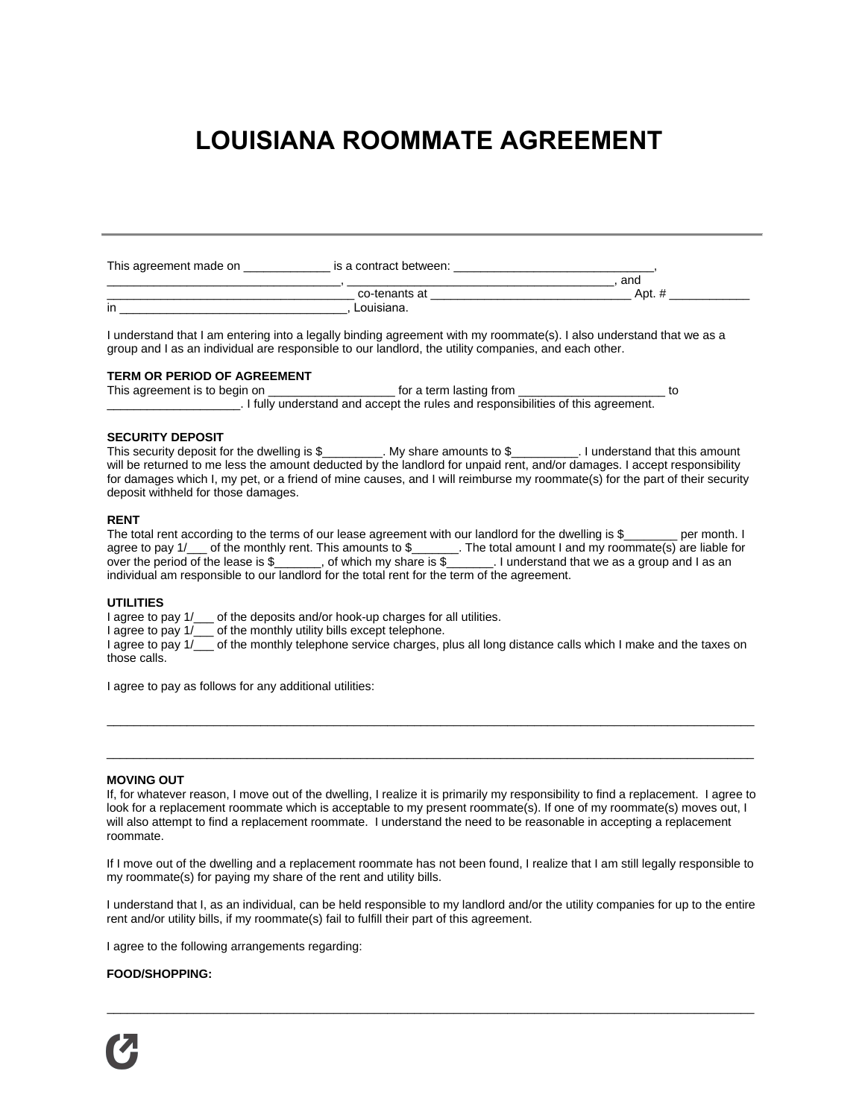# **LOUISIANA ROOMMATE AGREEMENT**

| This agreement made on | is a contract between: |      |
|------------------------|------------------------|------|
|                        |                        | and  |
|                        | co-tenants at          | Apt. |
| in                     | Louisiana.             |      |

I understand that I am entering into a legally binding agreement with my roommate(s). I also understand that we as a group and I as an individual are responsible to our landlord, the utility companies, and each other.

### **TERM OR PERIOD OF AGREEMENT**

This agreement is to begin on \_\_\_\_\_\_\_\_\_\_\_\_\_\_\_\_\_\_\_\_\_\_\_\_\_ for a term lasting from \_\_\_\_\_\_\_\_\_\_\_\_\_\_\_\_\_\_\_\_\_\_\_\_\_\_\_ to \_\_\_\_\_\_\_\_\_\_\_\_\_\_\_\_\_\_\_\_. I fully understand and accept the rules and responsibilities of this agreement.

#### **SECURITY DEPOSIT**

This security deposit for the dwelling is \$ \_\_\_\_\_\_\_. My share amounts to \$ \_\_\_\_\_\_\_. I understand that this amount will be returned to me less the amount deducted by the landlord for unpaid rent, and/or damages. I accept responsibility for damages which I, my pet, or a friend of mine causes, and I will reimburse my roommate(s) for the part of their security deposit withheld for those damages.

## **RENT**

The total rent according to the terms of our lease agreement with our landlord for the dwelling is \$ per month. I agree to pay 1/\_\_\_ of the monthly rent. This amounts to \$\_\_\_\_\_\_\_. The total amount I and my roommate(s) are liable for over the period of the lease is \$\_\_\_\_\_\_, of which my share is \$\_\_\_\_\_\_. I understand that we as a group and I as an individual am responsible to our landlord for the total rent for the term of the agreement.

#### **UTILITIES**

I agree to pay  $1/\_\_\_$  of the deposits and/or hook-up charges for all utilities.

I agree to pay  $1/$  of the monthly utility bills except telephone.

I agree to pay  $1/$  of the monthly telephone service charges, plus all long distance calls which I make and the taxes on those calls.

\_\_\_\_\_\_\_\_\_\_\_\_\_\_\_\_\_\_\_\_\_\_\_\_\_\_\_\_\_\_\_\_\_\_\_\_\_\_\_\_\_\_\_\_\_\_\_\_\_\_\_\_\_\_\_\_\_\_\_\_\_\_\_\_\_\_\_\_\_\_\_\_\_\_\_\_\_\_\_\_\_\_\_\_\_\_\_\_\_\_\_\_\_\_\_\_\_

 $\_$  . The contribution of the contribution of the contribution of the contribution of the contribution of the contribution of the contribution of the contribution of the contribution of the contribution of the contributio

I agree to pay as follows for any additional utilities:

## **MOVING OUT**

If, for whatever reason, I move out of the dwelling, I realize it is primarily my responsibility to find a replacement. I agree to look for a replacement roommate which is acceptable to my present roommate(s). If one of my roommate(s) moves out, I will also attempt to find a replacement roommate. I understand the need to be reasonable in accepting a replacement roommate.

If I move out of the dwelling and a replacement roommate has not been found, I realize that I am still legally responsible to my roommate(s) for paying my share of the rent and utility bills.

I understand that I, as an individual, can be held responsible to my landlord and/or the utility companies for up to the entire rent and/or utility bills, if my roommate(s) fail to fulfill their part of this agreement.

\_\_\_\_\_\_\_\_\_\_\_\_\_\_\_\_\_\_\_\_\_\_\_\_\_\_\_\_\_\_\_\_\_\_\_\_\_\_\_\_\_\_\_\_\_\_\_\_\_\_\_\_\_\_\_\_\_\_\_\_\_\_\_\_\_\_\_\_\_\_\_\_\_\_\_\_\_\_\_\_\_\_\_\_\_\_\_\_\_\_\_\_\_\_\_\_\_

I agree to the following arrangements regarding:

#### **FOOD/SHOPPING:**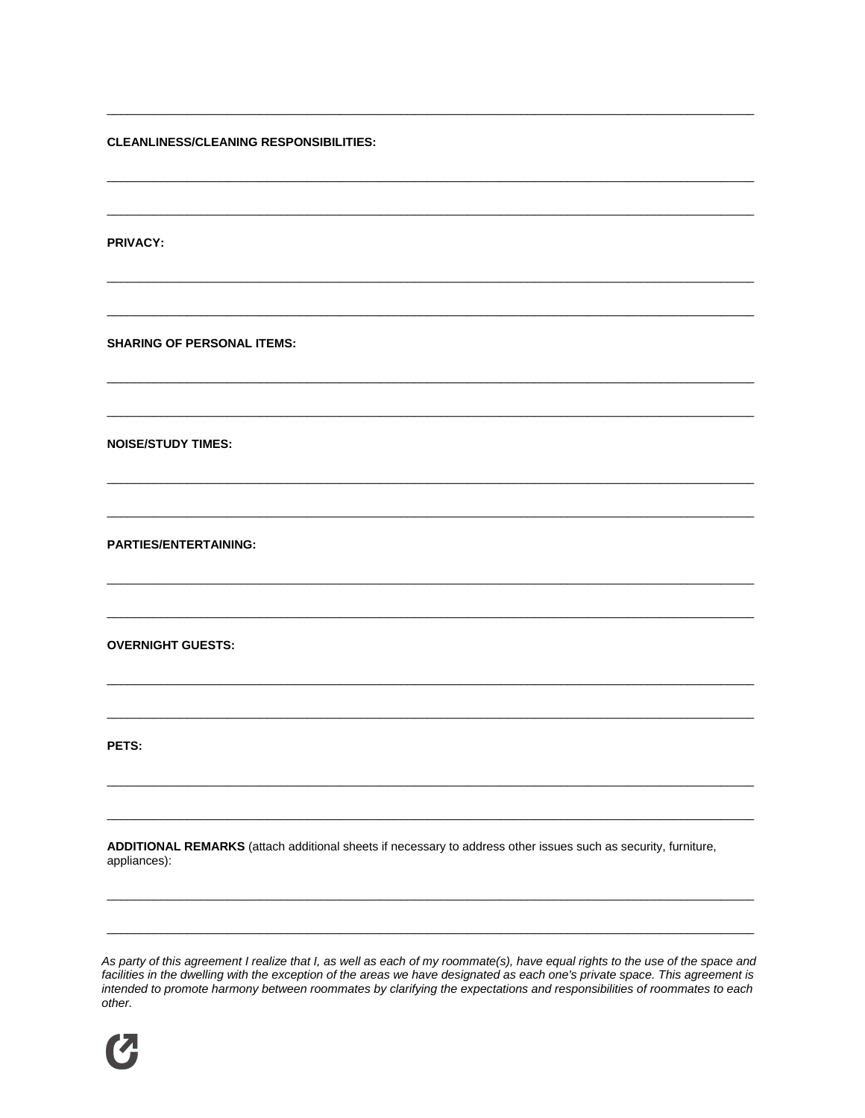**CLEANLINESS/CLEANING RESPONSIBILITIES:** 

**PRIVACY:** 

**SHARING OF PERSONAL ITEMS:** 

**NOISE/STUDY TIMES:** 

**PARTIES/ENTERTAINING:** 

**OVERNIGHT GUESTS:** 

PETS:

ADDITIONAL REMARKS (attach additional sheets if necessary to address other issues such as security, furniture, appliances):

As party of this agreement I realize that I, as well as each of my roommate(s), have equal rights to the use of the space and<br>facilities in the dwelling with the exception of the areas we have designated as each one's priv intended to promote harmony between roommates by clarifying the expectations and responsibilities of roommates to each other.